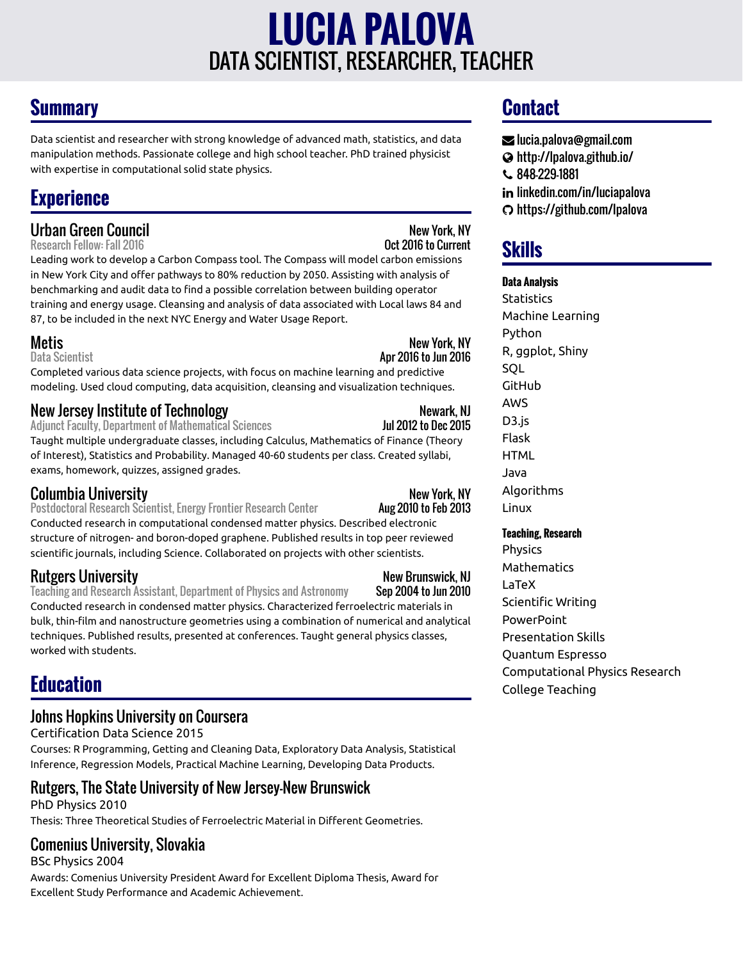# DATA SCIENTIST, RESEARCHER, TEACHER **LUCIA PALOVA**

## **Summary**

Data scientist and researcher with strong knowledge of advanced math, statistics, and data manipulation methods. Passionate college and high school teacher. PhD trained physicist with expertise in computational solid state physics.

## **Experience**

# Urban Green Council<br>Research Fellow: Fall 2016<br>**Research Fellow: Fall 2016**

Research Fellow: Fall 2016

Leading work to develop a Carbon Compass tool. The Compass will model carbon emissions in New York City and offer pathways to 80% reduction by 2050. Assisting with analysis of benchmarking and audit data to find a possible correlation between building operator training and energy usage. Cleansing and analysis of data associated with Local laws 84 and 87, to be included in the next NYC Energy and Water Usage Report.

Metis New York, NY<br>Data Scientist New York, NY New York, NY

Completed various data science projects, with focus on machine learning and predictive modeling. Used cloud computing, data acquisition, cleansing and visualization techniques.

# New Jersey Institute of Technology<br>Adiunct Faculty, Department of Mathematical Sciences Mexicopy 1948 1012 to Dec 2015

Adjunct Faculty, Department of Mathematical Sciences

Taught multiple undergraduate classes, including Calculus, Mathematics of Finance (Theory of Interest), Statistics and Probability. Managed 40-60 students per class. Created syllabi, exams, homework, quizzes, assigned grades.

#### **Columbia University**<br>Postdoctoral Research Scientist, Energy Frontier Research Center **New York, NY**<br>Aug 2010 to Feb 2013 Postdoctoral Research Scientist, Energy Frontier Research Center

Apr 2016 to Jun 2016

Conducted research in computational condensed matter physics. Described electronic structure of nitrogen- and boron-doped graphene. Published results in top peer reviewed scientific journals, including Science. Collaborated on projects with other scientists.

Rutgers University<br>Teaching and Research Assistant, Department of Physics and Astronomy Sep 2004 to Jun 2010 Teaching and Research Assistant, Department of Physics and Astronomy Conducted research in condensed matter physics. Characterized ferroelectric materials in bulk, thin-film and nanostructure geometries using a combination of numerical and analytical techniques. Published results, presented at conferences. Taught general physics classes, worked with students.

## **Education**

## Johns Hopkins University on Coursera

Certification Data Science 2015

Courses: R Programming, Getting and Cleaning Data, Exploratory Data Analysis, Statistical Inference, Regression Models, Practical Machine Learning, Developing Data Products.

## Rutgers, The State University of New Jersey-New Brunswick

PhD Physics 2010 Thesis: Three Theoretical Studies of Ferroelectric Material in Different Geometries.

## Comenius University, Slovakia

BSc Physics 2004

Awards: Comenius University President Award for Excellent Diploma Thesis, Award for Excellent Study Performance and Academic Achievement.

## **Contact**

- [lucia.palova@gmail.com](mailto:lucia.palova@gmail.com)
- <http://lpalova.github.io/>
- 848-229-1881
- in [linkedin.com/in/luciapalova](http://linkedin.com/in/luciapalova)
- <https://github.com/lpalova>

## **Skills**

### **Data Analysis**

**Statistics** Machine Learning Python R, ggplot, Shiny **SOL** GitHub AWS D3.js Flask **HTML** Java Algorithms Linux

### **Teaching, Research**

Physics Mathematics LaTeX Scientific Writing **PowerPoint** Presentation Skills Quantum Espresso Computational Physics Research College Teaching